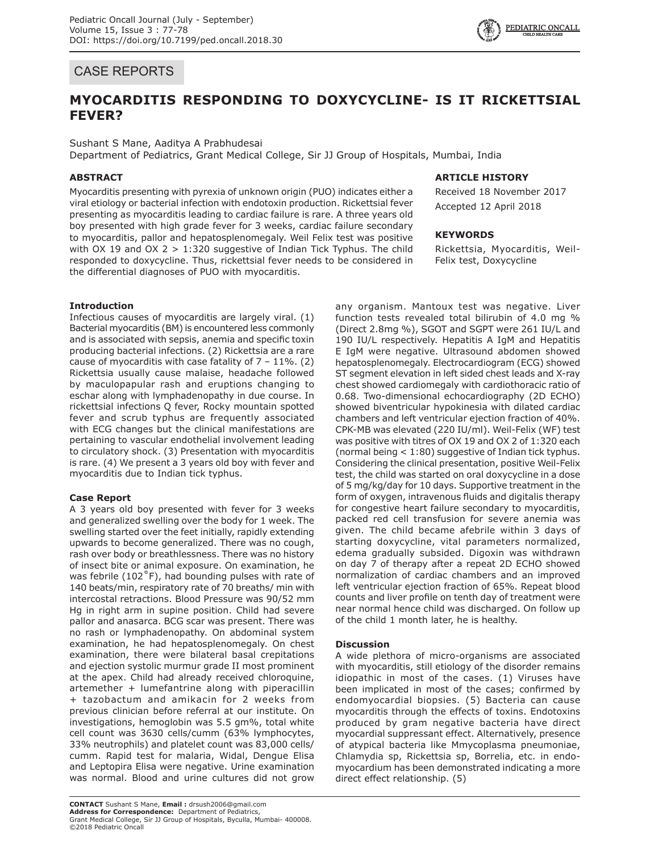## CASE REPORTS

# **MYOCARDITIS RESPONDING TO DOXYCYCLINE- IS IT RICKETTSIAL FEVER?**

## Sushant S Mane, Aaditya A Prabhudesai

Department of Pediatrics, Grant Medical College, Sir JJ Group of Hospitals, Mumbai, India

## **ABSTRACT**

Myocarditis presenting with pyrexia of unknown origin (PUO) indicates either a viral etiology or bacterial infection with endotoxin production. Rickettsial fever presenting as myocarditis leading to cardiac failure is rare. A three years old boy presented with high grade fever for 3 weeks, cardiac failure secondary to myocarditis, pallor and hepatosplenomegaly. Weil Felix test was positive with OX 19 and OX  $2 > 1:320$  suggestive of Indian Tick Typhus. The child responded to doxycycline. Thus, rickettsial fever needs to be considered in the differential diagnoses of PUO with myocarditis.

#### **Introduction**

Infectious causes of myocarditis are largely viral. (1) Bacterial myocarditis (BM) is encountered less commonly and is associated with sepsis, anemia and specific toxin producing bacterial infections. (2) Rickettsia are a rare cause of myocarditis with case fatality of  $7 - 11\%$ . (2) Rickettsia usually cause malaise, headache followed by maculopapular rash and eruptions changing to eschar along with lymphadenopathy in due course. In rickettsial infections Q fever, Rocky mountain spotted fever and scrub typhus are frequently associated with ECG changes but the clinical manifestations are pertaining to vascular endothelial involvement leading to circulatory shock. (3) Presentation with myocarditis is rare. (4) We present a 3 years old boy with fever and myocarditis due to Indian tick typhus.

#### **Case Report**

A 3 years old boy presented with fever for 3 weeks and generalized swelling over the body for 1 week. The swelling started over the feet initially, rapidly extending upwards to become generalized. There was no cough, rash over body or breathlessness. There was no history of insect bite or animal exposure. On examination, he was febrile  $(102^{\circ}F)$ , had bounding pulses with rate of 140 beats/min, respiratory rate of 70 breaths/ min with intercostal retractions. Blood Pressure was 90/52 mm Hg in right arm in supine position. Child had severe pallor and anasarca. BCG scar was present. There was no rash or lymphadenopathy. On abdominal system examination, he had hepatosplenomegaly. On chest examination, there were bilateral basal crepitations and ejection systolic murmur grade II most prominent at the apex. Child had already received chloroquine, artemether + lumefantrine along with piperacillin + tazobactum and amikacin for 2 weeks from previous clinician before referral at our institute. On investigations, hemoglobin was 5.5 gm%, total white cell count was 3630 cells/cumm (63% lymphocytes, 33% neutrophils) and platelet count was 83,000 cells/ cumm. Rapid test for malaria, Widal, Dengue Elisa and Leptopira Elisa were negative. Urine examination was normal. Blood and urine cultures did not grow

### **ARTICLE HISTORY**

Received 18 November 2017 Accepted 12 April 2018

#### **KEYWORDS**

Rickettsia, Myocarditis, Weil-Felix test, Doxycycline

any organism. Mantoux test was negative. Liver function tests revealed total bilirubin of 4.0 mg % (Direct 2.8mg %), SGOT and SGPT were 261 IU/L and 190 IU/L respectively. Hepatitis A IgM and Hepatitis E IgM were negative. Ultrasound abdomen showed hepatosplenomegaly. Electrocardiogram (ECG) showed ST segment elevation in left sided chest leads and X-ray chest showed cardiomegaly with cardiothoracic ratio of 0.68. Two-dimensional echocardiography (2D ECHO) showed biventricular hypokinesia with dilated cardiac chambers and left ventricular ejection fraction of 40%. CPK-MB was elevated (220 IU/ml). Weil-Felix (WF) test was positive with titres of OX 19 and OX 2 of 1:320 each (normal being < 1:80) suggestive of Indian tick typhus. Considering the clinical presentation, positive Weil-Felix test, the child was started on oral doxycycline in a dose of 5 mg/kg/day for 10 days. Supportive treatment in the form of oxygen, intravenous fluids and digitalis therapy for congestive heart failure secondary to myocarditis, packed red cell transfusion for severe anemia was given. The child became afebrile within 3 days of starting doxycycline, vital parameters normalized, edema gradually subsided. Digoxin was withdrawn on day 7 of therapy after a repeat 2D ECHO showed normalization of cardiac chambers and an improved left ventricular ejection fraction of 65%. Repeat blood counts and liver profile on tenth day of treatment were near normal hence child was discharged. On follow up of the child 1 month later, he is healthy.

#### **Discussion**

A wide plethora of micro-organisms are associated with myocarditis, still etiology of the disorder remains idiopathic in most of the cases. (1) Viruses have been implicated in most of the cases; confirmed by endomyocardial biopsies. (5) Bacteria can cause myocarditis through the effects of toxins. Endotoxins produced by gram negative bacteria have direct myocardial suppressant effect. Alternatively, presence of atypical bacteria like Mmycoplasma pneumoniae, Chlamydia sp, Rickettsia sp, Borrelia, etc. in endomyocardium has been demonstrated indicating a more direct effect relationship. (5)